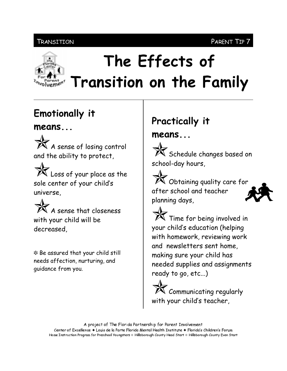### **TRANSITION**



# The Effects of Transition on the Family

## **Emotionally it**

## $means...$



X Loss of your place as the sole center of your child's universe.



\* Be assured that your child still needs affection, nurturing, and quidance from you.

## Practically it

## means...

 $\mathbb X$  Schedule changes based on school-day hours,



 $\mathbb{\tilde{X}}$  Time for being involved in your child's education (helping with homework, reviewing work and newsletters sent home. making sure your child has needed supplies and assignments ready to go, etc...)

Communicating regularly with your child's teacher,

A project of The Florida Partnership for Parent Involvement Center of Excellence ◆ Louis de la Parte Florida Mental Health Institute ◆ Florida's Children's Forum Home Instruction Program for Preschool Youngsters & Hillsborough County Head Start & Hillsborough County Even Start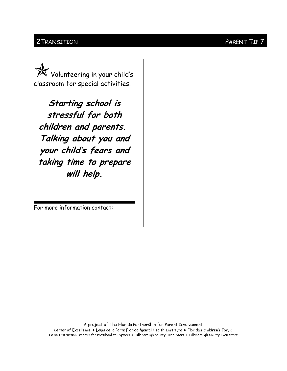#### 2 TRANSITION PARENT TIP 7

 $\mathbb{\widetilde{K}}$  Volunteering in your child's classroom for special activities.

Starting school is stressful for both children and parents. Talking about you and your child's fears and taking time to prepare will help.

For more information contact: